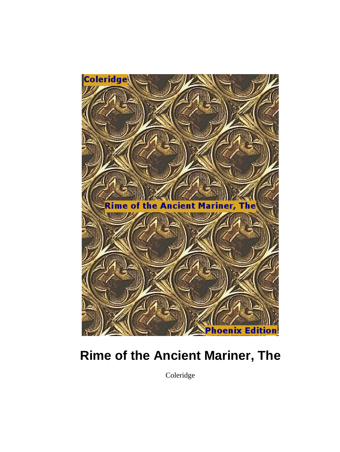

# **Rime of the Ancient Mariner, The**

Coleridge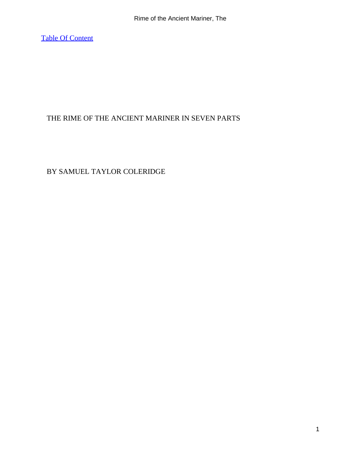[Table Of Content](#page-49-0)

#### THE RIME OF THE ANCIENT MARINER IN SEVEN PARTS

#### BY SAMUEL TAYLOR COLERIDGE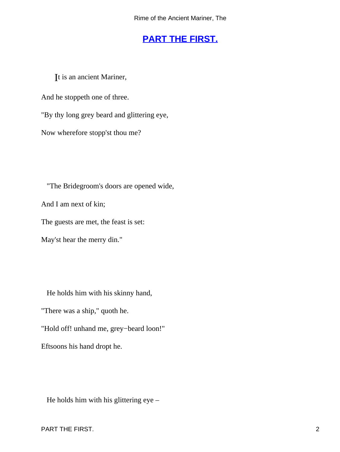# **[PART THE FIRST.](#page-49-0)**

<span id="page-2-0"></span>It is an ancient Mariner,

And he stoppeth one of three.

"By thy long grey beard and glittering eye,

Now wherefore stopp'st thou me?

"The Bridegroom's doors are opened wide,

And I am next of kin;

The guests are met, the feast is set:

May'st hear the merry din."

He holds him with his skinny hand,

"There was a ship," quoth he.

"Hold off! unhand me, grey−beard loon!"

Eftsoons his hand dropt he.

He holds him with his glittering eye –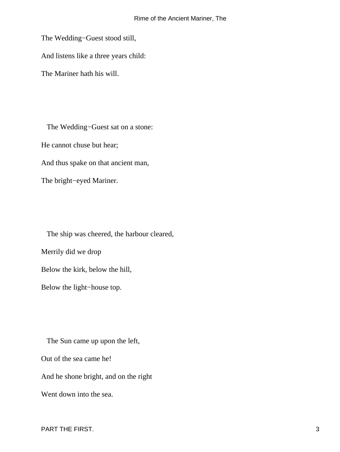The Wedding−Guest stood still,

And listens like a three years child:

The Mariner hath his will.

 The Wedding−Guest sat on a stone: He cannot chuse but hear; And thus spake on that ancient man,

The bright−eyed Mariner.

 The ship was cheered, the harbour cleared, Merrily did we drop Below the kirk, below the hill, Below the light−house top.

 The Sun came up upon the left, Out of the sea came he! And he shone bright, and on the right Went down into the sea.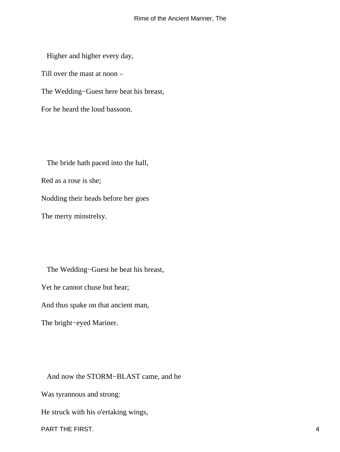Higher and higher every day, Till over the mast at noon – The Wedding−Guest here beat his breast, For he heard the loud bassoon.

 The bride hath paced into the hall, Red as a rose is she; Nodding their heads before her goes The merry minstrelsy.

 The Wedding−Guest he beat his breast, Yet he cannot chuse but hear; And thus spake on that ancient man, The bright−eyed Mariner.

And now the STORM−BLAST came, and he

Was tyrannous and strong:

He struck with his o'ertaking wings,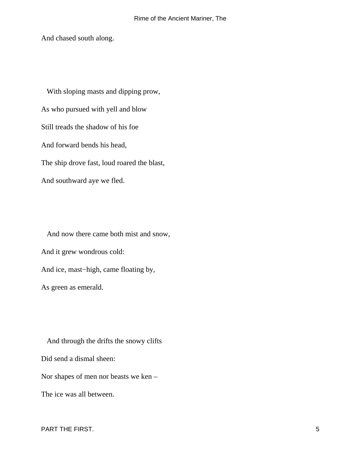And chased south along.

 With sloping masts and dipping prow, As who pursued with yell and blow Still treads the shadow of his foe And forward bends his head, The ship drove fast, loud roared the blast, And southward aye we fled.

 And now there came both mist and snow, And it grew wondrous cold: And ice, mast−high, came floating by, As green as emerald.

 And through the drifts the snowy clifts Did send a dismal sheen: Nor shapes of men nor beasts we ken – The ice was all between.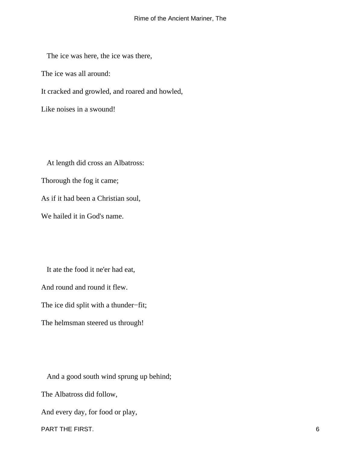The ice was here, the ice was there,

The ice was all around:

It cracked and growled, and roared and howled,

Like noises in a swound!

 At length did cross an Albatross: Thorough the fog it came; As if it had been a Christian soul, We hailed it in God's name.

 It ate the food it ne'er had eat, And round and round it flew. The ice did split with a thunder−fit; The helmsman steered us through!

 And a good south wind sprung up behind; The Albatross did follow, And every day, for food or play, PART THE FIRST. 6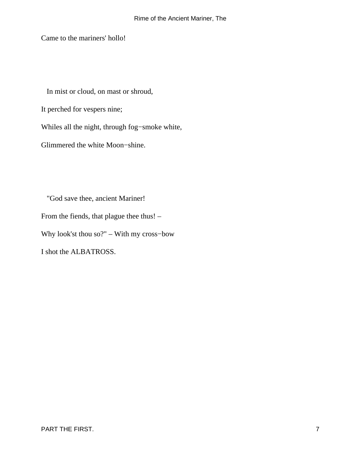Came to the mariners' hollo!

In mist or cloud, on mast or shroud,

It perched for vespers nine;

Whiles all the night, through fog−smoke white,

Glimmered the white Moon−shine.

 "God save thee, ancient Mariner! From the fiends, that plague thee thus! –

Why look'st thou so?" – With my cross−bow

I shot the ALBATROSS.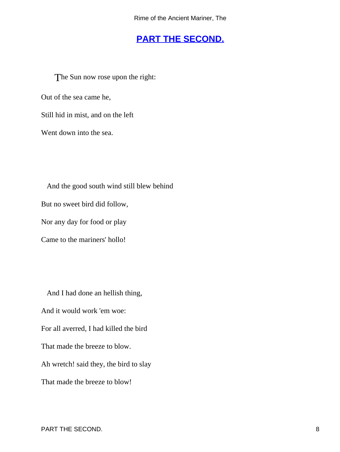### **[PART THE SECOND.](#page-49-0)**

<span id="page-8-0"></span>The Sun now rose upon the right: Out of the sea came he, Still hid in mist, and on the left Went down into the sea.

 And the good south wind still blew behind But no sweet bird did follow, Nor any day for food or play

Came to the mariners' hollo!

 And I had done an hellish thing, And it would work 'em woe: For all averred, I had killed the bird That made the breeze to blow. Ah wretch! said they, the bird to slay That made the breeze to blow!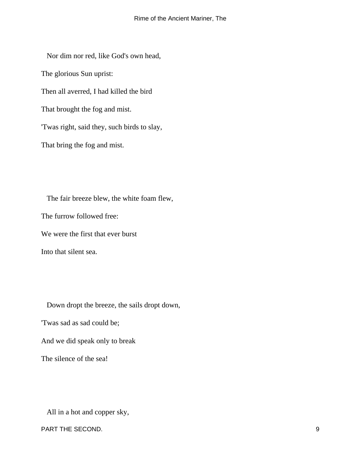Nor dim nor red, like God's own head,

The glorious Sun uprist:

Then all averred, I had killed the bird

That brought the fog and mist.

'Twas right, said they, such birds to slay,

That bring the fog and mist.

 The fair breeze blew, the white foam flew, The furrow followed free: We were the first that ever burst Into that silent sea.

Down dropt the breeze, the sails dropt down,

'Twas sad as sad could be;

And we did speak only to break

The silence of the sea!

All in a hot and copper sky,

PART THE SECOND.  $\qquad \qquad \qquad 9$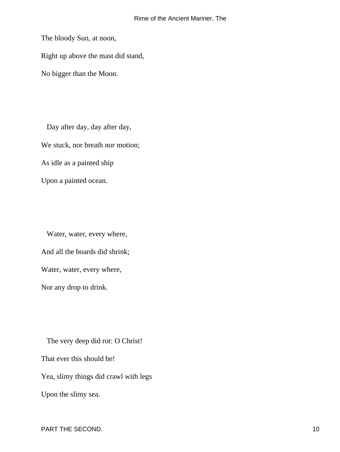The bloody Sun, at noon,

Right up above the mast did stand,

No bigger than the Moon.

 Day after day, day after day, We stuck, nor breath nor motion; As idle as a painted ship Upon a painted ocean.

 Water, water, every where, And all the boards did shrink; Water, water, every where, Nor any drop to drink.

 The very deep did rot: O Christ! That ever this should be! Yea, slimy things did crawl with legs Upon the slimy sea.

PART THE SECOND. 10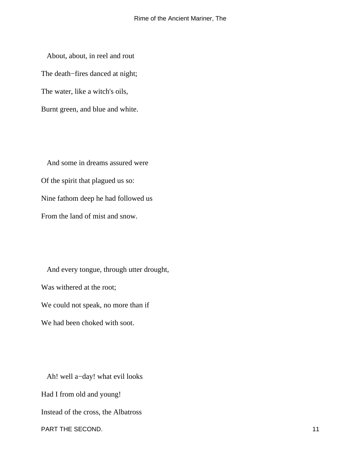About, about, in reel and rout The death−fires danced at night; The water, like a witch's oils, Burnt green, and blue and white.

 And some in dreams assured were Of the spirit that plagued us so: Nine fathom deep he had followed us From the land of mist and snow.

 And every tongue, through utter drought, Was withered at the root; We could not speak, no more than if We had been choked with soot.

 Ah! well a−day! what evil looks Had I from old and young! Instead of the cross, the Albatross PART THE SECOND. 2008 12:00:00 12:00:00 12:00:00 12:00:00 12:00:00 12:00:00 12:00:00 12:00:00 12:00:00 12:00:00 12:00:00 12:00:00 12:00:00 12:00:00 12:00:00 12:00:00 12:00:00 12:00:00 12:00:00 12:00:00 12:00:00 12:00:00 12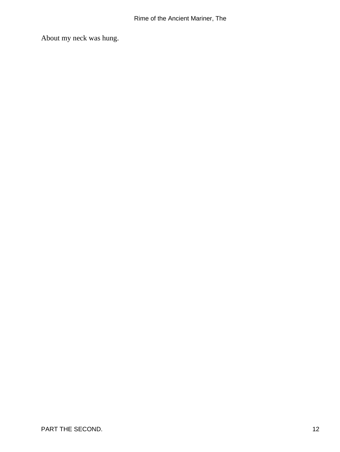About my neck was hung.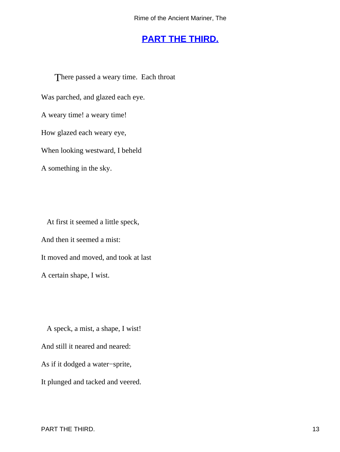# **[PART THE THIRD.](#page-49-0)**

<span id="page-13-0"></span>There passed a weary time. Each throat Was parched, and glazed each eye. A weary time! a weary time! How glazed each weary eye, When looking westward, I beheld A something in the sky.

 At first it seemed a little speck, And then it seemed a mist: It moved and moved, and took at last A certain shape, I wist.

 A speck, a mist, a shape, I wist! And still it neared and neared: As if it dodged a water−sprite, It plunged and tacked and veered.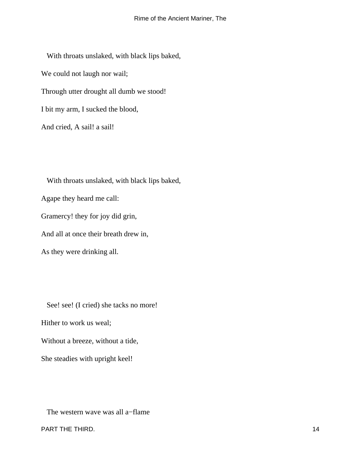With throats unslaked, with black lips baked, We could not laugh nor wail; Through utter drought all dumb we stood! I bit my arm, I sucked the blood, And cried, A sail! a sail!

 With throats unslaked, with black lips baked, Agape they heard me call: Gramercy! they for joy did grin, And all at once their breath drew in,

As they were drinking all.

 See! see! (I cried) she tacks no more! Hither to work us weal; Without a breeze, without a tide, She steadies with upright keel!

The western wave was all a−flame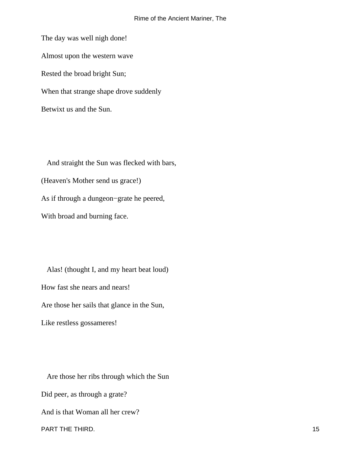The day was well nigh done! Almost upon the western wave Rested the broad bright Sun; When that strange shape drove suddenly Betwixt us and the Sun.

 And straight the Sun was flecked with bars, (Heaven's Mother send us grace!) As if through a dungeon−grate he peered, With broad and burning face.

 Alas! (thought I, and my heart beat loud) How fast she nears and nears! Are those her sails that glance in the Sun, Like restless gossameres!

 Are those her ribs through which the Sun Did peer, as through a grate? And is that Woman all her crew? PART THE THIRD. 2008 15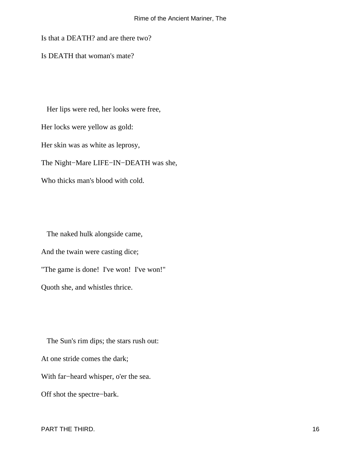#### Rime of the Ancient Mariner, The

Is that a DEATH? and are there two?

Is DEATH that woman's mate?

 Her lips were red, her looks were free, Her locks were yellow as gold: Her skin was as white as leprosy, The Night−Mare LIFE−IN−DEATH was she, Who thicks man's blood with cold.

 The naked hulk alongside came, And the twain were casting dice; "The game is done! I've won! I've won!" Quoth she, and whistles thrice.

 The Sun's rim dips; the stars rush out: At one stride comes the dark; With far−heard whisper, o'er the sea. Off shot the spectre−bark.

PART THE THIRD. 2008 16 and 2008 16 and 2008 16 and 2008 16 and 2008 16 and 2008 16 and 2008 16 and 2008 16 and 2008 16 and 2008 16 and 2008 16 and 2008 16 and 2008 16 and 2008 16 and 2008 16 and 2008 16 and 2008 16 and 20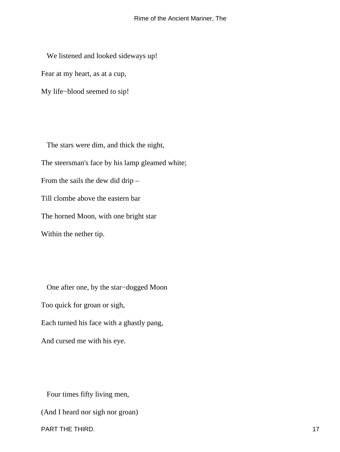We listened and looked sideways up! Fear at my heart, as at a cup,

My life−blood seemed to sip!

 The stars were dim, and thick the night, The steersman's face by his lamp gleamed white; From the sails the dew did drip – Till clombe above the eastern bar The horned Moon, with one bright star Within the nether tip.

 One after one, by the star−dogged Moon Too quick for groan or sigh, Each turned his face with a ghastly pang, And cursed me with his eye.

Four times fifty living men,

(And I heard nor sigh nor groan)

PART THE THIRD. 17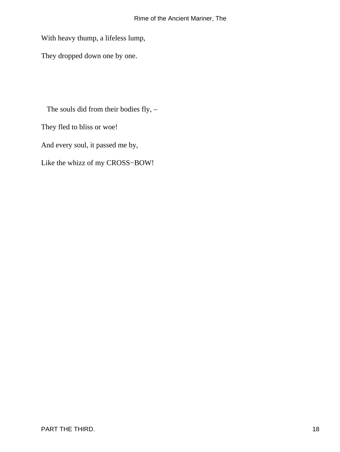#### Rime of the Ancient Mariner, The

With heavy thump, a lifeless lump,

They dropped down one by one.

The souls did from their bodies fly, –

They fled to bliss or woe!

And every soul, it passed me by,

Like the whizz of my CROSS−BOW!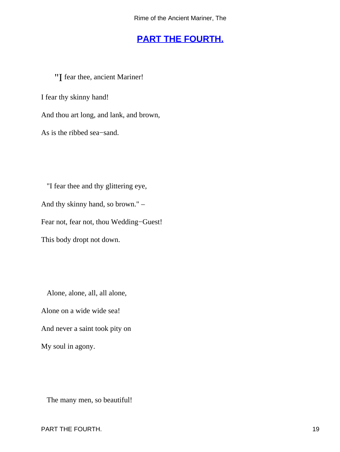### **[PART THE FOURTH.](#page-49-0)**

<span id="page-19-0"></span>"I fear thee, ancient Mariner! I fear thy skinny hand! And thou art long, and lank, and brown, As is the ribbed sea−sand.

 "I fear thee and thy glittering eye, And thy skinny hand, so brown." – Fear not, fear not, thou Wedding−Guest! This body dropt not down.

Alone, alone, all, all alone,

Alone on a wide wide sea! And never a saint took pity on

My soul in agony.

The many men, so beautiful!

PART THE FOURTH. 2008 19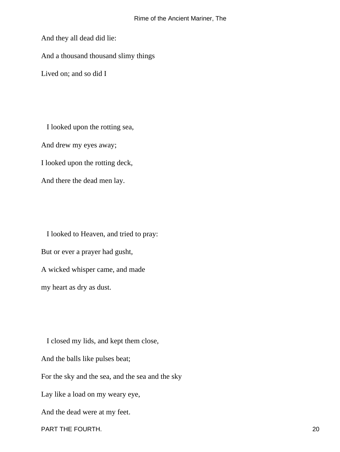And they all dead did lie:

And a thousand thousand slimy things

Lived on; and so did I

 I looked upon the rotting sea, And drew my eyes away; I looked upon the rotting deck,

And there the dead men lay.

 I looked to Heaven, and tried to pray: But or ever a prayer had gusht,

A wicked whisper came, and made my heart as dry as dust.

 I closed my lids, and kept them close, And the balls like pulses beat; For the sky and the sea, and the sea and the sky Lay like a load on my weary eye, And the dead were at my feet.

PART THE FOURTH. 20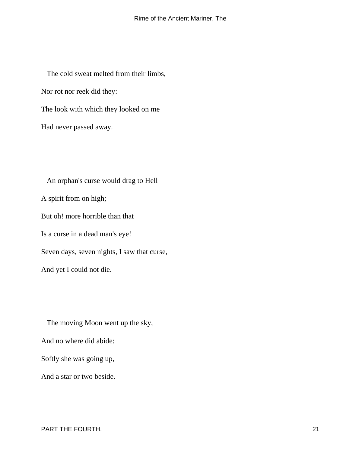The cold sweat melted from their limbs, Nor rot nor reek did they: The look with which they looked on me Had never passed away.

 An orphan's curse would drag to Hell A spirit from on high; But oh! more horrible than that Is a curse in a dead man's eye! Seven days, seven nights, I saw that curse, And yet I could not die.

 The moving Moon went up the sky, And no where did abide: Softly she was going up, And a star or two beside.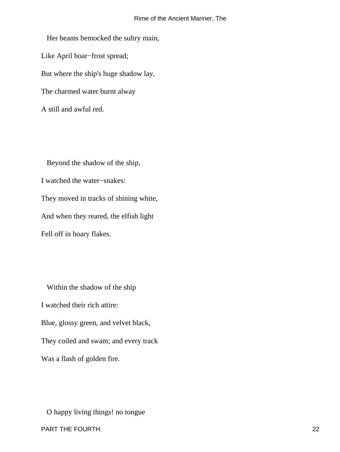Her beams bemocked the sultry main, Like April hoar−frost spread; But where the ship's huge shadow lay, The charmed water burnt alway A still and awful red.

 Beyond the shadow of the ship, I watched the water−snakes: They moved in tracks of shining white, And when they reared, the elfish light Fell off in hoary flakes.

 Within the shadow of the ship I watched their rich attire: Blue, glossy green, and velvet black, They coiled and swam; and every track Was a flash of golden fire.

 O happy living things! no tongue PART THE FOURTH. 22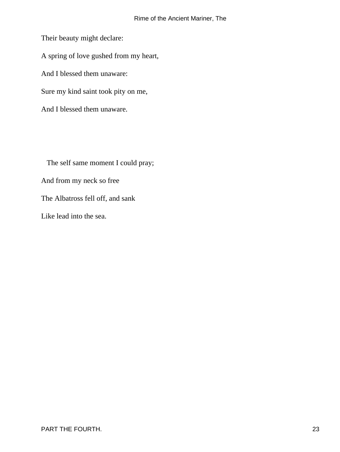Their beauty might declare: A spring of love gushed from my heart, And I blessed them unaware: Sure my kind saint took pity on me, And I blessed them unaware.

 The self same moment I could pray; And from my neck so free The Albatross fell off, and sank Like lead into the sea.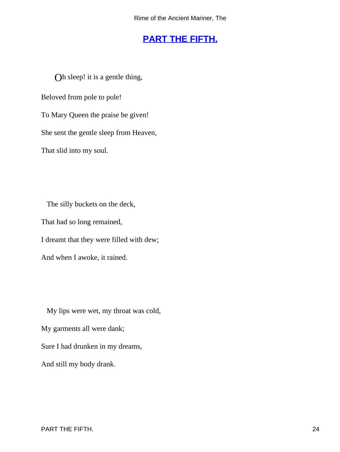# **[PART THE FIFTH.](#page-49-0)**

<span id="page-24-0"></span>Oh sleep! it is a gentle thing,

Beloved from pole to pole!

To Mary Queen the praise be given!

She sent the gentle sleep from Heaven,

That slid into my soul.

 The silly buckets on the deck, That had so long remained, I dreamt that they were filled with dew; And when I awoke, it rained.

 My lips were wet, my throat was cold, My garments all were dank; Sure I had drunken in my dreams, And still my body drank.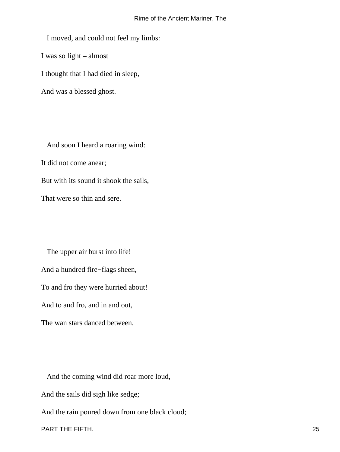I moved, and could not feel my limbs: I was so light – almost I thought that I had died in sleep, And was a blessed ghost.

 And soon I heard a roaring wind: It did not come anear; But with its sound it shook the sails, That were so thin and sere.

 The upper air burst into life! And a hundred fire−flags sheen, To and fro they were hurried about! And to and fro, and in and out, The wan stars danced between.

 And the coming wind did roar more loud, And the sails did sigh like sedge; And the rain poured down from one black cloud; PART THE FIFTH. 25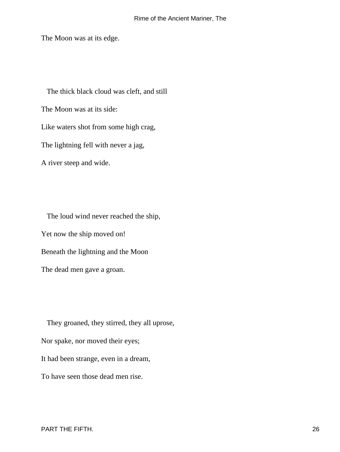The Moon was at its edge.

 The thick black cloud was cleft, and still The Moon was at its side: Like waters shot from some high crag, The lightning fell with never a jag, A river steep and wide.

 The loud wind never reached the ship, Yet now the ship moved on! Beneath the lightning and the Moon The dead men gave a groan.

 They groaned, they stirred, they all uprose, Nor spake, nor moved their eyes; It had been strange, even in a dream, To have seen those dead men rise.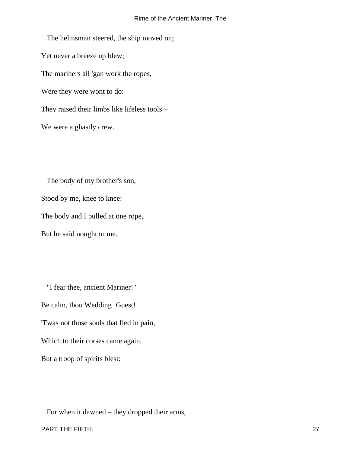The helmsman steered, the ship moved on; Yet never a breeze up blew; The mariners all 'gan work the ropes, Were they were wont to do: They raised their limbs like lifeless tools – We were a ghastly crew.

 The body of my brother's son, Stood by me, knee to knee: The body and I pulled at one rope, But he said nought to me.

 "I fear thee, ancient Mariner!" Be calm, thou Wedding−Guest! 'Twas not those souls that fled in pain, Which to their corses came again, But a troop of spirits blest:

For when it dawned – they dropped their arms,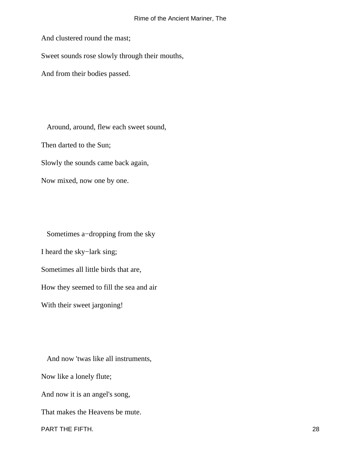And clustered round the mast;

Sweet sounds rose slowly through their mouths,

And from their bodies passed.

 Around, around, flew each sweet sound, Then darted to the Sun; Slowly the sounds came back again, Now mixed, now one by one.

 Sometimes a−dropping from the sky I heard the sky−lark sing; Sometimes all little birds that are, How they seemed to fill the sea and air With their sweet jargoning!

 And now 'twas like all instruments, Now like a lonely flute; And now it is an angel's song, That makes the Heavens be mute. PART THE FIFTH. 28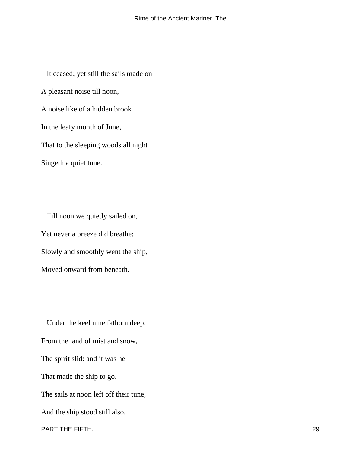It ceased; yet still the sails made on A pleasant noise till noon, A noise like of a hidden brook In the leafy month of June, That to the sleeping woods all night Singeth a quiet tune.

 Till noon we quietly sailed on, Yet never a breeze did breathe: Slowly and smoothly went the ship, Moved onward from beneath.

 Under the keel nine fathom deep, From the land of mist and snow, The spirit slid: and it was he That made the ship to go. The sails at noon left off their tune, And the ship stood still also. PART THE FIFTH. 29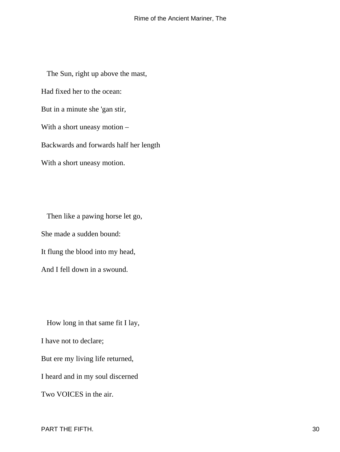The Sun, right up above the mast, Had fixed her to the ocean: But in a minute she 'gan stir, With a short uneasy motion – Backwards and forwards half her length With a short uneasy motion.

 Then like a pawing horse let go, She made a sudden bound: It flung the blood into my head, And I fell down in a swound.

 How long in that same fit I lay, I have not to declare; But ere my living life returned, I heard and in my soul discerned Two VOICES in the air.

PART THE FIFTH. 30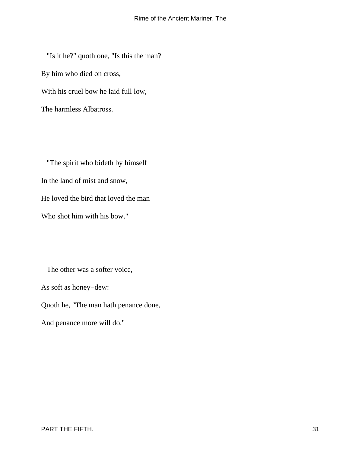"Is it he?" quoth one, "Is this the man? By him who died on cross, With his cruel bow he laid full low, The harmless Albatross.

 "The spirit who bideth by himself In the land of mist and snow, He loved the bird that loved the man Who shot him with his bow."

The other was a softer voice,

As soft as honey−dew:

Quoth he, "The man hath penance done,

And penance more will do."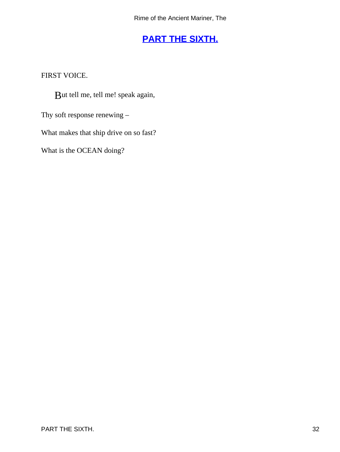# **[PART THE SIXTH.](#page-49-0)**

<span id="page-32-0"></span>FIRST VOICE.

But tell me, tell me! speak again,

Thy soft response renewing –

What makes that ship drive on so fast?

What is the OCEAN doing?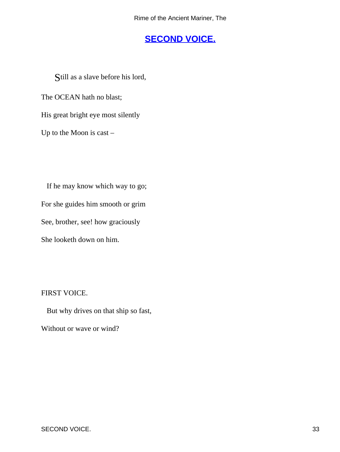# **[SECOND VOICE.](#page-49-0)**

<span id="page-33-0"></span>Still as a slave before his lord,

The OCEAN hath no blast;

His great bright eye most silently

Up to the Moon is cast –

 If he may know which way to go; For she guides him smooth or grim See, brother, see! how graciously She looketh down on him.

FIRST VOICE.

But why drives on that ship so fast,

Without or wave or wind?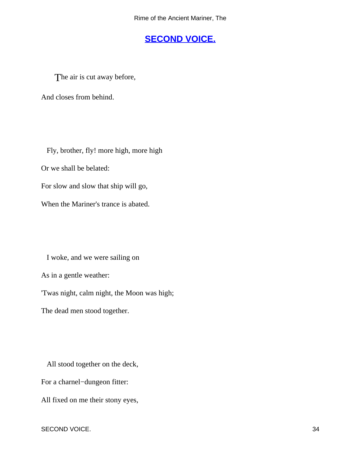#### **[SECOND VOICE.](#page-49-0)**

<span id="page-34-0"></span>The air is cut away before,

And closes from behind.

 Fly, brother, fly! more high, more high Or we shall be belated: For slow and slow that ship will go, When the Mariner's trance is abated.

I woke, and we were sailing on

As in a gentle weather:

'Twas night, calm night, the Moon was high;

The dead men stood together.

All stood together on the deck,

For a charnel−dungeon fitter:

All fixed on me their stony eyes,

SECOND VOICE. 34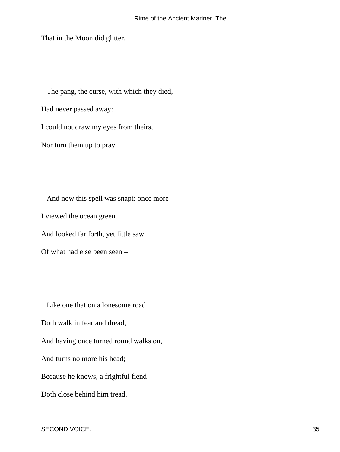That in the Moon did glitter.

The pang, the curse, with which they died,

Had never passed away:

I could not draw my eyes from theirs,

Nor turn them up to pray.

 And now this spell was snapt: once more I viewed the ocean green. And looked far forth, yet little saw

Of what had else been seen –

 Like one that on a lonesome road Doth walk in fear and dread, And having once turned round walks on, And turns no more his head; Because he knows, a frightful fiend Doth close behind him tread.

SECOND VOICE. 35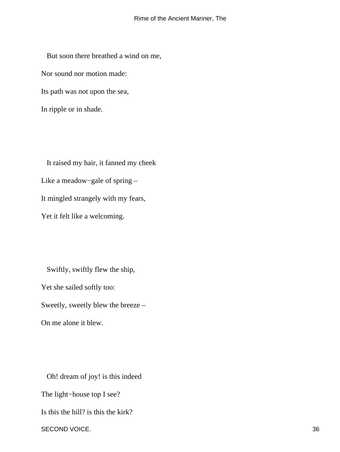But soon there breathed a wind on me, Nor sound nor motion made: Its path was not upon the sea, In ripple or in shade.

 It raised my hair, it fanned my cheek Like a meadow−gale of spring – It mingled strangely with my fears, Yet it felt like a welcoming.

 Swiftly, swiftly flew the ship, Yet she sailed softly too: Sweetly, sweetly blew the breeze – On me alone it blew.

 Oh! dream of joy! is this indeed The light−house top I see? Is this the hill? is this the kirk? SECOND VOICE. 36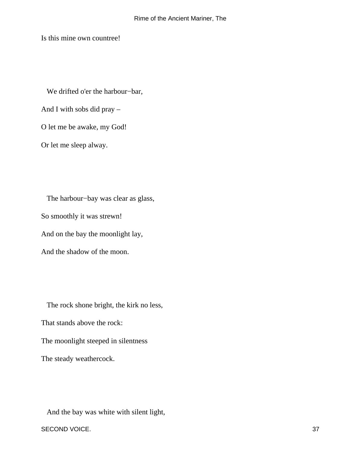Is this mine own countree!

We drifted o'er the harbour−bar,

And I with sobs did pray –

O let me be awake, my God!

Or let me sleep alway.

 The harbour−bay was clear as glass, So smoothly it was strewn! And on the bay the moonlight lay, And the shadow of the moon.

 The rock shone bright, the kirk no less, That stands above the rock: The moonlight steeped in silentness The steady weathercock.

And the bay was white with silent light,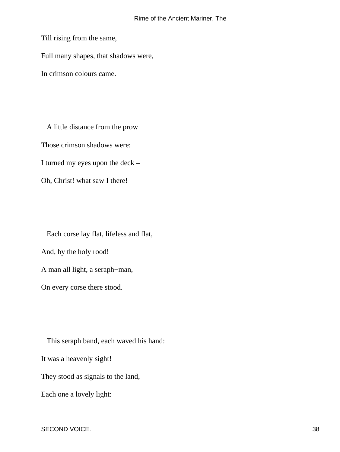Till rising from the same,

Full many shapes, that shadows were,

In crimson colours came.

 A little distance from the prow Those crimson shadows were: I turned my eyes upon the deck – Oh, Christ! what saw I there!

 Each corse lay flat, lifeless and flat, And, by the holy rood! A man all light, a seraph−man, On every corse there stood.

 This seraph band, each waved his hand: It was a heavenly sight! They stood as signals to the land, Each one a lovely light:

SECOND VOICE. 38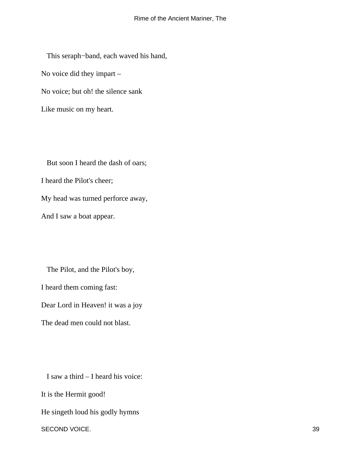This seraph−band, each waved his hand, No voice did they impart – No voice; but oh! the silence sank Like music on my heart.

 But soon I heard the dash of oars; I heard the Pilot's cheer; My head was turned perforce away, And I saw a boat appear.

 The Pilot, and the Pilot's boy, I heard them coming fast: Dear Lord in Heaven! it was a joy The dead men could not blast.

 I saw a third – I heard his voice: It is the Hermit good! He singeth loud his godly hymns SECOND VOICE. 39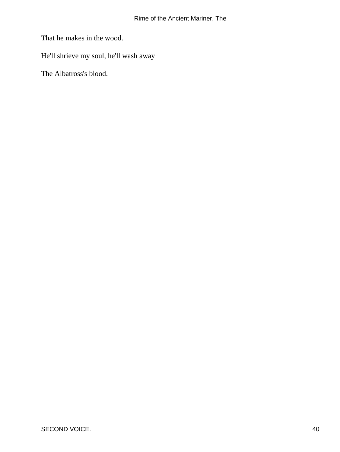That he makes in the wood.

He'll shrieve my soul, he'll wash away

The Albatross's blood.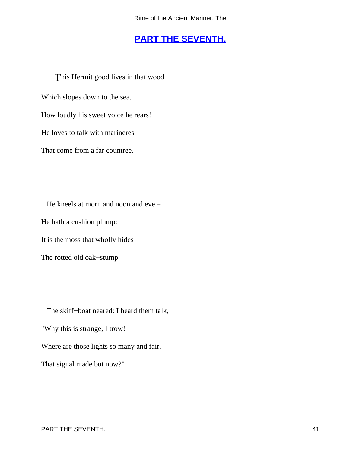### **[PART THE SEVENTH.](#page-49-0)**

<span id="page-41-0"></span>This Hermit good lives in that wood Which slopes down to the sea. How loudly his sweet voice he rears! He loves to talk with marineres That come from a far countree.

 He kneels at morn and noon and eve – He hath a cushion plump: It is the moss that wholly hides The rotted old oak−stump.

 The skiff−boat neared: I heard them talk, "Why this is strange, I trow! Where are those lights so many and fair, That signal made but now?"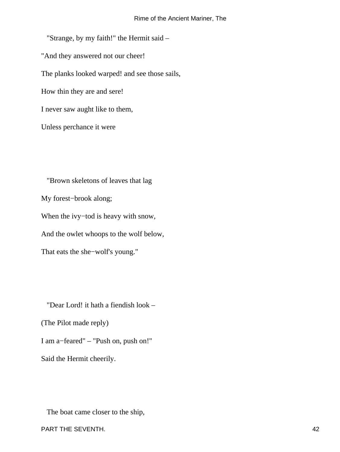"Strange, by my faith!" the Hermit said – "And they answered not our cheer! The planks looked warped! and see those sails, How thin they are and sere! I never saw aught like to them, Unless perchance it were

 "Brown skeletons of leaves that lag My forest−brook along; When the ivy−tod is heavy with snow, And the owlet whoops to the wolf below, That eats the she−wolf's young."

 "Dear Lord! it hath a fiendish look – (The Pilot made reply) I am a−feared" – "Push on, push on!" Said the Hermit cheerily.

The boat came closer to the ship,

PART THE SEVENTH. 42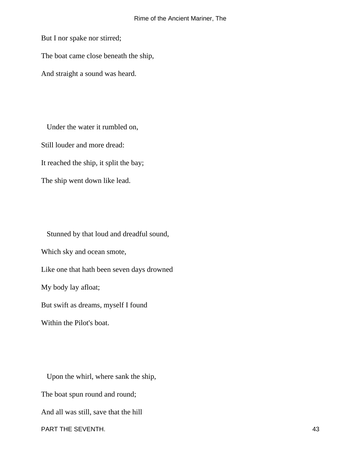But I nor spake nor stirred;

The boat came close beneath the ship,

And straight a sound was heard.

 Under the water it rumbled on, Still louder and more dread: It reached the ship, it split the bay; The ship went down like lead.

 Stunned by that loud and dreadful sound, Which sky and ocean smote, Like one that hath been seven days drowned My body lay afloat; But swift as dreams, myself I found Within the Pilot's boat.

 Upon the whirl, where sank the ship, The boat spun round and round; And all was still, save that the hill PART THE SEVENTH. 43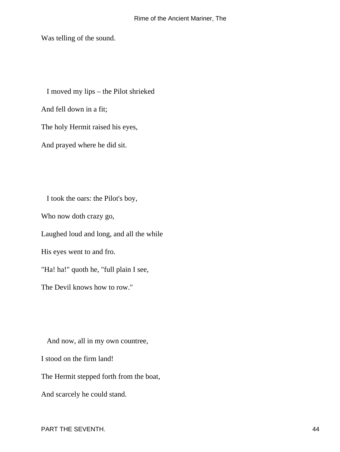Was telling of the sound.

 I moved my lips – the Pilot shrieked And fell down in a fit; The holy Hermit raised his eyes, And prayed where he did sit.

 I took the oars: the Pilot's boy, Who now doth crazy go, Laughed loud and long, and all the while His eyes went to and fro. "Ha! ha!" quoth he, "full plain I see, The Devil knows how to row."

 And now, all in my own countree, I stood on the firm land! The Hermit stepped forth from the boat, And scarcely he could stand.

PART THE SEVENTH. 44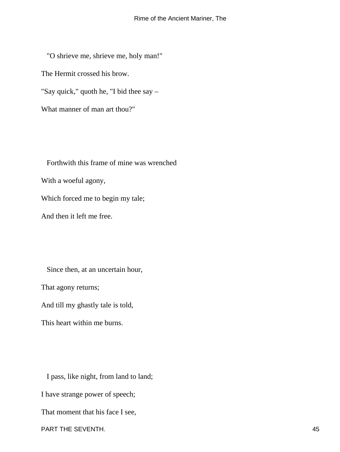"O shrieve me, shrieve me, holy man!" The Hermit crossed his brow. "Say quick," quoth he, "I bid thee say – What manner of man art thou?"

 Forthwith this frame of mine was wrenched With a woeful agony, Which forced me to begin my tale; And then it left me free.

 Since then, at an uncertain hour, That agony returns; And till my ghastly tale is told, This heart within me burns.

 I pass, like night, from land to land; I have strange power of speech; That moment that his face I see, PART THE SEVENTH. 45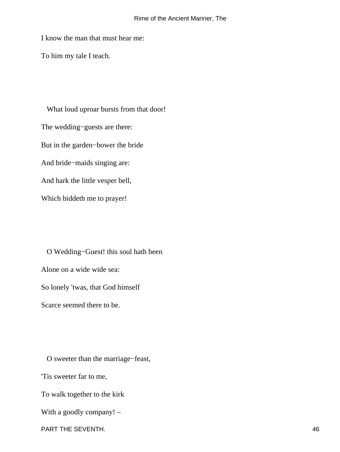#### Rime of the Ancient Mariner, The

I know the man that must hear me:

To him my tale I teach.

 What loud uproar bursts from that door! The wedding−guests are there: But in the garden−bower the bride And bride−maids singing are: And hark the little vesper bell, Which biddeth me to prayer!

 O Wedding−Guest! this soul hath been Alone on a wide wide sea: So lonely 'twas, that God himself Scarce seemed there to be.

O sweeter than the marriage−feast,

'Tis sweeter far to me,

To walk together to the kirk

With a goodly company! –

PART THE SEVENTH. 46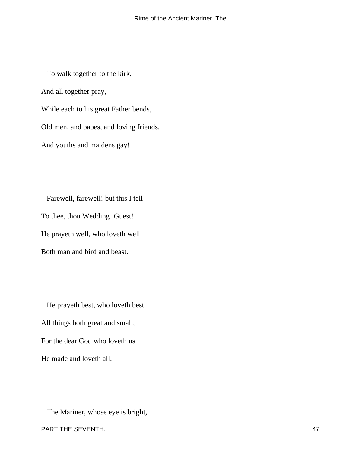To walk together to the kirk, And all together pray, While each to his great Father bends, Old men, and babes, and loving friends, And youths and maidens gay!

 Farewell, farewell! but this I tell To thee, thou Wedding−Guest! He prayeth well, who loveth well Both man and bird and beast.

 He prayeth best, who loveth best All things both great and small; For the dear God who loveth us He made and loveth all.

 The Mariner, whose eye is bright, PART THE SEVENTH. 47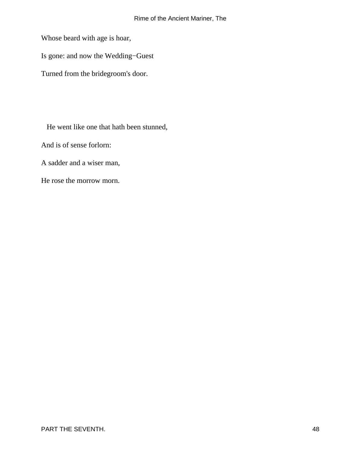Whose beard with age is hoar,

Is gone: and now the Wedding−Guest

Turned from the bridegroom's door.

He went like one that hath been stunned,

And is of sense forlorn:

A sadder and a wiser man,

He rose the morrow morn.